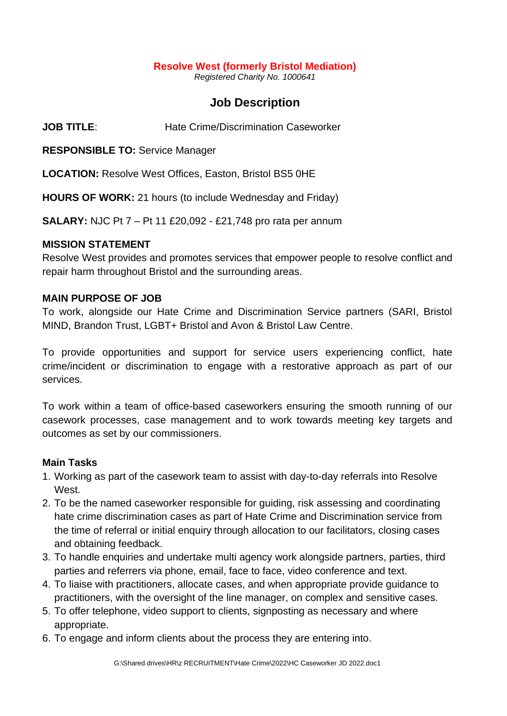#### **Resolve West (formerly Bristol Mediation)**

*Registered Charity No. 1000641*

## **Job Description**

**JOB TITLE**: Hate Crime/Discrimination Caseworker

**RESPONSIBLE TO:** Service Manager

**LOCATION:** Resolve West Offices, Easton, Bristol BS5 0HE

**HOURS OF WORK:** 21 hours (to include Wednesday and Friday)

**SALARY:** NJC Pt 7 – Pt 11 £20,092 - £21,748 pro rata per annum

#### **MISSION STATEMENT**

Resolve West provides and promotes services that empower people to resolve conflict and repair harm throughout Bristol and the surrounding areas.

#### **MAIN PURPOSE OF JOB**

To work, alongside our Hate Crime and Discrimination Service partners (SARI, Bristol MIND, Brandon Trust, LGBT+ Bristol and Avon & Bristol Law Centre.

To provide opportunities and support for service users experiencing conflict, hate crime/incident or discrimination to engage with a restorative approach as part of our services.

To work within a team of office-based caseworkers ensuring the smooth running of our casework processes, case management and to work towards meeting key targets and outcomes as set by our commissioners.

## **Main Tasks**

- 1. Working as part of the casework team to assist with day-to-day referrals into Resolve **West**
- 2. To be the named caseworker responsible for guiding, risk assessing and coordinating hate crime discrimination cases as part of Hate Crime and Discrimination service from the time of referral or initial enquiry through allocation to our facilitators, closing cases and obtaining feedback.
- 3. To handle enquiries and undertake multi agency work alongside partners, parties, third parties and referrers via phone, email, face to face, video conference and text.
- 4. To liaise with practitioners, allocate cases, and when appropriate provide guidance to practitioners, with the oversight of the line manager, on complex and sensitive cases.
- 5. To offer telephone, video support to clients, signposting as necessary and where appropriate.
- 6. To engage and inform clients about the process they are entering into.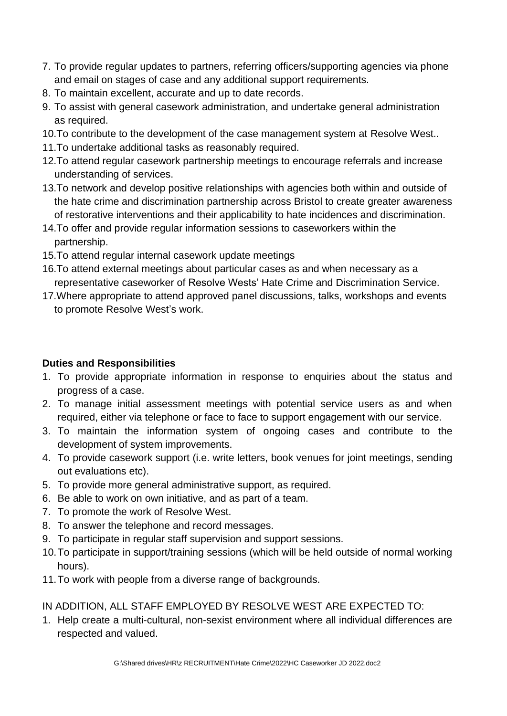- 7. To provide regular updates to partners, referring officers/supporting agencies via phone and email on stages of case and any additional support requirements.
- 8. To maintain excellent, accurate and up to date records.
- 9. To assist with general casework administration, and undertake general administration as required.
- 10.To contribute to the development of the case management system at Resolve West..
- 11.To undertake additional tasks as reasonably required.
- 12.To attend regular casework partnership meetings to encourage referrals and increase understanding of services.
- 13.To network and develop positive relationships with agencies both within and outside of the hate crime and discrimination partnership across Bristol to create greater awareness of restorative interventions and their applicability to hate incidences and discrimination.
- 14.To offer and provide regular information sessions to caseworkers within the partnership.
- 15.To attend regular internal casework update meetings
- 16.To attend external meetings about particular cases as and when necessary as a representative caseworker of Resolve Wests' Hate Crime and Discrimination Service.
- 17.Where appropriate to attend approved panel discussions, talks, workshops and events to promote Resolve West's work.

## **Duties and Responsibilities**

- 1. To provide appropriate information in response to enquiries about the status and progress of a case.
- 2. To manage initial assessment meetings with potential service users as and when required, either via telephone or face to face to support engagement with our service.
- 3. To maintain the information system of ongoing cases and contribute to the development of system improvements.
- 4. To provide casework support (i.e. write letters, book venues for joint meetings, sending out evaluations etc).
- 5. To provide more general administrative support, as required.
- 6. Be able to work on own initiative, and as part of a team.
- 7. To promote the work of Resolve West.
- 8. To answer the telephone and record messages.
- 9. To participate in regular staff supervision and support sessions.
- 10.To participate in support/training sessions (which will be held outside of normal working hours).
- 11.To work with people from a diverse range of backgrounds.

## IN ADDITION, ALL STAFF EMPLOYED BY RESOLVE WEST ARE EXPECTED TO:

1. Help create a multi-cultural, non-sexist environment where all individual differences are respected and valued.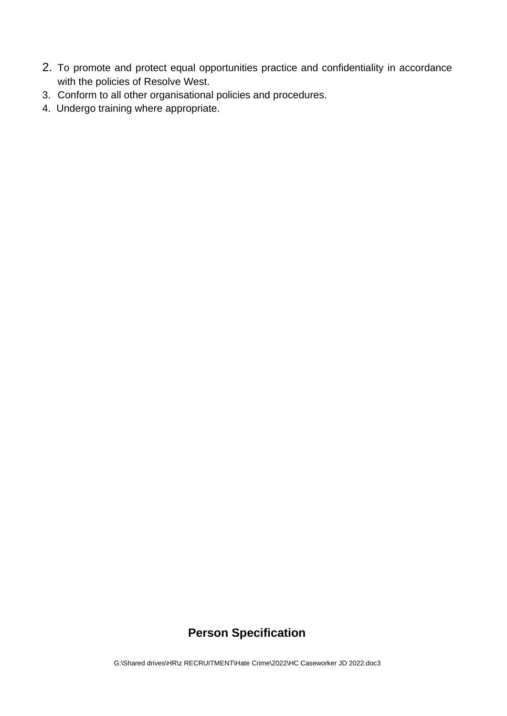- 2. To promote and protect equal opportunities practice and confidentiality in accordance with the policies of Resolve West.
- 3. Conform to all other organisational policies and procedures.
- 4. Undergo training where appropriate.

# **Person Specification**

G:\Shared drives\HR\z RECRUITMENT\Hate Crime\2022\HC Caseworker JD 2022.doc3